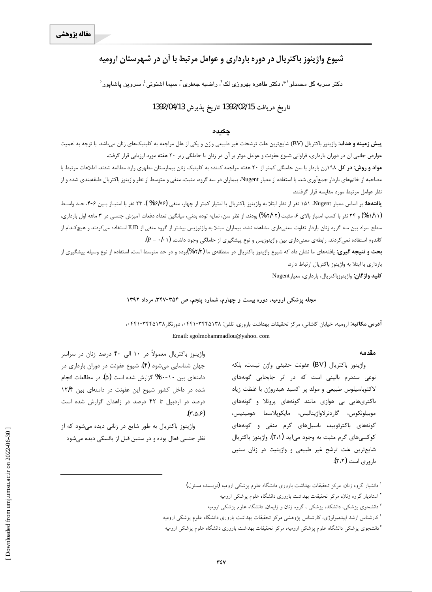# شيوع واژينوز باكتريال در دوره بارداري و عوامل مرتبط با آن در شهرستان اروميه

 $^{\circ}$ دکتر سریه گل محمدلو $^{\ast}$ ، دکتر طاهره بهروزی لک $^{\prime}$ ، راضیه جعفری $^{\prime}$ ، سیما اشنوئی $^{\ast}$ ، سروین پاشاپور

## **1392/04/13Ë~axËZe 1392/02/15d§ZË{xËZe**

#### چکیده

**پیش زمینه و هدف**: واژینوز باکتریال (BV) شایعترین علت ترشحات غیر طبیعی واژن و یکی از علل مراجعه به کلینیکهای زنان میباشد. با توجه به اهمیت عوارض جانبی ان در دوران بارداری، فراوانی شیوع عفونت و عوامل موثر بر آن در زنان با حاملگی زیر ۲۰ هفته مورد ارزیابی قرار گرفت.

<mark>مواد و روش: در کل ۱۹۸</mark>زن باردار با سن حاملگی کمتر از ۲۰ هفته مراجعه کننده به کلینیک زنان بیمارستان مطهری وارد مطالعه شدند. اطلاعات مرتبط با مصاحبه از خانمهای باردار جمعآوری شد. با استفاده از معیار Nugent بیماران در سه گروه، مثبت، منفی و متوسط از نظر واژینوز باکتریال طبقهبندی شده و از نظر عوامل مرتبط مورد مقايسه قرار گرفتند.

**يافتهها**: بر اساس معيار Nugent (1۵ نفر از نظر ابتلا به واژينوز باكتريال با امتياز كمتر از چهار، منفى (16/7/8% K°f نفر با امتيـاز بـين ۶-۴، حـد واسـط (۶۱/۱۱%) و ۲۴ نفر با کسب امتیاز بالای ۶، مثبت (۱۲/۱۲%) بودند. از نظر سن، نمایه توده بدنی، میانگین تعداد دفعات آمیزش جنسی در ۳ ماهه اول بارداری، سطح سواد بین سه گروه زنان باردار تفاوت معنیداری مشاهده نشد. بیماران مبتلا به واژنوزیس بیشتر از گروه منفی از IUD استفاده می¢دند و هیچ کـدام از کاندوم استفاده نمیکردند. رابطهی معنیداری بین واژینوزیس و نوع پیشگیری از حاملگی وجود داشت. (P = ٠/٠۱).

بحث و نتیجه گیری: یافتههای ما نشان داد که شیوع واژینوز باکتریال در منطقهی ما (۱۲/۲%)بوده و در حد متوسط است. استفاده از نوع وسیله پیشگیری از بارداري با ابتلا به واژينوز باكتريال ارتباط دارد.

**كليد واژگان:** واژينوزباكتريال، بارداري، معيارNugent

#### مجله پزشکی ارومیه، دوره بیست و چهارم، شماره پنجم، ص ۳۵۴-۳۴۷. مرداد ۱۳۹۲

# **آدرس مكاتبه**: اروميه، خيابان كاشاني، مركز تحقيقات بهداشت باروري، تلفن: ۱۳۴۵/۴۴۵۱۳۸-۰۴۴۱، دورنگار ۱۳۴۵/۳۴۵۱۲، ۰ Email: sgolmohammadlou@yahoo. com

#### **مقدمه**

واژينوز باكتريال (BV) عفونت حقيقى واژن نيست، بلكه نوعی سندرم بالینی است که در اثر جابجایی گونههای لاكتوباسيلوس طبيعي و مولد پر اكسيد هيدروژن با غلظت زياد باکتریهایی بی هوازی مانند گونههای پروتلا و گونههای موبيلونكوس، گاردنرلاواژيناليس، مايكوپلاسما هومينيس، گونههای باکترئویید، باسیلهای گرم منفی و گونههای کوکسیهای گرم مثبت به وجود میآید (۲،۱). واژینوز باکتریال شايع ترين علت ترشح غير طبيعي و واژينيت در زنان سنين باروري است (٣،٢).

واژینوز باکتریال معمولاً در ۱۰ الی ۴۰ درصد زنان در سراسر جهان شناسایی میشود (۴). شیوع عفونت در دوران بارداری در دامنهای بین ۱۰-۳۰% گزارش شده است (۵). در مطالعات انجام شده در داخل کشور شیوع این عفونت در دامنهای بین ۱۲/۴ درصد در اردبیل تا ۴۲ درصد در زاهدان گزارش شده است .(۳،۵،۶)

واژینوز باکتریال به طور شایع در زنانی دیده میشود که از نظر جنسی فعال بوده و در سنین قبل از پائسگی دیده میشود

 $\overline{a}$ 

<sup>ٔ</sup> دانشیار گروه زنان، مرکز تحقیقات بهداشت باروری دانشگاه علوم پزشکی ارومیه (نویسنده مسئول) <sup>۲</sup> استادیار گروه زنان، مرکز تحقیقات بهداشت باروری دانشگاه علوم پزشکی ارومیه

<sup>&</sup>lt;sup>۳</sup> دانشجوی پزشکی، دانشکده پزشکی ، گروه زنان و زایمان، دانشگاه علوم پزشکی ارومیه

<sup>&</sup>lt;sup>؛</sup> کارشناس ارشد اپیدمیولوژی، کارشناس پژوهشی مرکز تحقیقات بهداشت باروری دانشگاه علوم پزشکی ارومیه

<sup>°</sup>دانشجوی پزشکی دانشگاه علوم پزشکی ارومیه، مرکز تحقیقات بهداشت باروری دانشگاه علوم پزشکی ارومیه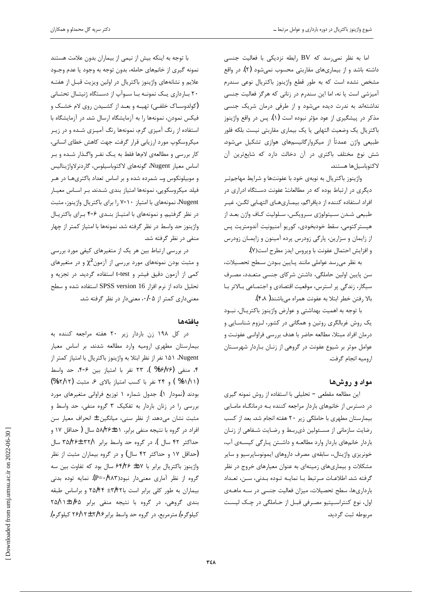اما به نظر نمی رسد که BV رابطه نزدیکی با فعالیت جنسی داشته باشد و از بیماریهای مقاربتی محسوب نمیشود (۲). در واقع مشخص نشده است که به طور قطع واژینوز باکتریال نوعی سندرم آمیزشی است یا نه، اما این سندرم در زنانی که هرگز فعالیت جنسی نداشتهاند به ندرت دیده میشود و از طرفی درمان شریک جنسی مذکر در پیشگیری از عود مؤثر نبوده است (۱). پس در واقع واژینوز باكتريال يک وضعيت التهابي يا يک بيماري مقاربتي نيست بلكه فلور طبیعی واژن عمدتاً از میکروارگانیسمهای هوازی تشکیل میشود. شش نوع مختلف باكترى در آن دخالت دارد كه شايعترين آن لاكتوباسيل ها هستند.

واژينوز باكتريال به نوبهي خود با عفونتها و شرايط مهاجمتر دیگری در ارتباط بوده که در مطالعات: عفونت دستگاه ادراری در افراد استفاده كننده از ديافراگم، بيمـارىهـاى التهـابى لگـن، غيـر طبیعی شـدن سـیتولوژی سـرویکس، سـلولیت کـاف واژن بعـد از هيستركتومي، سقط خودبخودي، كوريو آمنيونيت آندومتريت پس لز زايمان و سزارين، پارگى زودرس پرده آمينون و زايمـان زودرس و افزايش احتمال عفونت با ويروس ايدز مطرح است(٧).

به نظر مى رسد عواملى مانند بايين بودن سطح تحصيلات، سن پایین اولین حاملگی، داشتن شرکای جنسی متعـدد، مصـرف سیگار، زندگی پر استرس، موقعیت اقتصادی و اجتمـاعی بـالاتر بـا بالا رفتن خطر ابتلا به عفونت همراه مىباشند( ۴،۸).

با توجه به اهميت بهداشتي و عوارض واژينوز باكتريـال، نبـود یک روش غربالگری روتین و همگانی در کشور، لـزوم شناسـایی و درمان افراد مبتلا، مطالعه حاضر با هدف بررسي فراواني عفونت و عوامل موثر بر شيوع عفونت در گروهي از زنـان بـاردار شهرسـتان اروميه انجام گرفت.

## مواد و روشها

این مطالعه مقطعی – تحلیلی با استفاده از روش نمونه گیری در دسترس از خانمهای باردار مراجعه کننده بـه درمانگـاه مامـایی بیمارستان مطهری با حاملگی زیر ٢٠ هفته انجام شد. بعد از کسب رضایت سازمانی از مسئولین ذی ربط و رضایت شفاهی از زنـان باردار خانمهای باردار وارد مطالعه و داشتن پارگی کیسهی آب، خونريزي واژينال، سابقهي مصرف داروهاي ايمونوساپرسيو و ساير مشکلات و بیماریهای زمینهای به عنوان معیارهای خروج در نظر گرفته شد. اطلاعـات مـرتبط بـا نمايـه تـوده بـدنى، سـن، تعـداد بارداریها، سطح تحصیلات، میزان فعالیت جنسی در سـه ماهـهی اول، نوع كنتراسـپتيو مصـرفي قبـل از حـاملگي در چـك ليسـت مربوطه ثبت گرديد.

با توجه به اينكه بيش از نيمي از بيماران بدون علامت هستند نمونه گیری از خانمهای حامله، بدون توجه به وجود یا عدم وجـود علایم و نشانههای واژینوز باکتریال در اولین ویزیت قبـل از هفتـه ۲۰ بارداری یک نمونـه بـا سـوآپ از دسـتگاه ژنیتـال تحتـانی خلفی) تهیـه و بعـد از کشـیدن روی لام خشـک و (کولدوسـاک خلفـی) فیکس نمودن، نمونهها را به آزمایشگاه ارسال شد. در آزمایشگاه با استفاده از رنگ آمیزی گرم، نمونهها رنگ آمیـزی شـده و در زیـر میکروسکوپ مورد ارزیابی قرار گرفت. جهت کاهش خطای انسانی، کار بررسی و مطالعهی لامها فقط به یـک نفـر واگـذار شـده و بـر اساس معيار Nugent، گونههاي لاكتوباسيلوس، گاردنرلاواژيناليس و موبیلونکوس و… شمرده شده و بر اساس تعداد باکتریهـا در هـر فیلد میکروسکوپی، نمونهها امتیاز بندی شدند. بـر اسـاس معیـار Nugent، نمونههای با امتیاز ۷-۱۰ را برای باکتریال واژینوز، مثبت در نظر گرفتیم. و نمونههای با امتیـاز بنـدی ۶-۴ بـرای باکتریـال واژینوز حد واسط در نظر گرفته شد. نمونهها با امتیاز کمتر از چهار منفی در نظر گرفته شد.

در بررسی ارتباط بین هر یک از متغیرهای کیفی مورد بررسی و مثبت بودن نمونههای مورد بررسی از آزمون $\chi^2$  و در متغیرهای کمی از آزمون دقیق فیشر و t-test استفاده گردید. در تجزیه و تحليل داده از نرم افزار SPSS version 16 استفاده شده و سطح معنیداری کمتر از ۰/۰۵، معنیدار در نظر گرفته شد.

### **مافتەھا**

در كل ١٩٨ زن باردار زير ٢٠ هفته مراجعه كننده به بيمارستان مطهري اروميه وارد مطالعه شدند. بر اساس معيار که ۱۵۱ نفر از نظر ابتلا به واژينوز باكتريال با امتياز كمتر از  $\lambda$ ugent ۴، منفی (۳۶/۷۶% )، ۲۳ نفر با امتیاز بین ۶-۴، حد واسط (۶۱/۱۲% ) و ۲۴ نفر با كسب امتياز بالاى ۶، مثبت (۱۲/۱۲%) بودند (نمودار ۱). جدول شماره ۱ توزیع فراوانی متغیرهای مورد بررسی را در زنان باردار به تفکیک ۳ گروه منفی، حد واسط و مثبت نشان میدهد. از نظر سنی، میانگین ± انحراف معیار سن افراد در گروه با نتيجه منفي برابر. ۵۸/۲۶±۵۱ سال ( حداقل ۱۷ و حداکثر ۴۲ سال )، در گروه حد واسط برابر ۳۵/۲۶± ۳۵/۲۶ خداقل ۱۷ و حداکثر ۴۲ سال) و در گروه بیماران مثبت از نظر) واژینوز باکتریال برابر با ۴۵۷ £ ۶۴/۲۶ سال بود که تفاوت بین سه گروه از نظر آماری معنیدار نبود(۱۹۸۳)=+C). نمایه توده بدنی بیماران به طور کلی برابر است با ۳۵/۴۴ +۲۵/۴۴ و براساس طبقه بندی گروهی، در گروه با نتیجه منفی برابر ۱/۶۵±۱/۱/۲ كيلوگرم/ مترمربع، در گروه حد واسط برابر ۲/۹۶ × ٢۶/۱۲ كيلوگرم/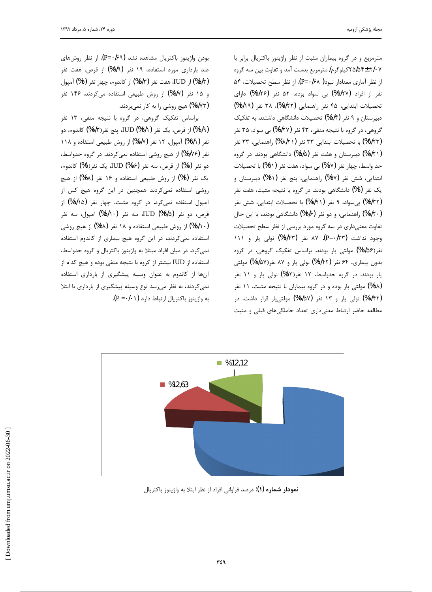j

مترمربع و در گروه بیماران مثبت از نظر واژینوز باکتریال برابر با ۲/۰۷ ±۲۵/۵۴كيلوگرم/مترمربع بدست آمد و تفاوت بين سه گروه از نظر آماری معنادار نبود( ۶۸/+P= $(P=4/8)$ . از نظر سطح تحصیلات، ۵۴ نفر از افراد (۳/۲۷%) بی سواد بوده، ۵۲ نفر (۳/۲۶%) دارای تحصيلات ابتدايي، ۴۵ نفر راهنمايي (۷/۲۲%)، ۳۸ نفر (۲/۱۹%) دبیرستان و ۹ نفر (۵/۴%) تحصیلات دانشگاهی داشتند. به تفکیک گروهي، در گروه با نتيجه منفي، ۴۳ نفر (۶/۲۷%) بي سواد، ۳۵ نفر (۴/۲۳%) با تحصیلات ابتدایی ۳۳ نفر (۸/۲۱ %) راهنمایی، ۳۳ نفر (۳۸/۲۱%) دبیرستان و هفت نفر (۵/۵%) دانشگاهی بودند. در گروه حد واسط، چهار نفر (۱۷%) بی سواد، هفت نفر (۳۱%) با تحصیلات ابتدایی، شش نفر (۳۷%) راهنمایی، پنج نفر (۳۱%) دبیرستان و یک نفر (\$%) دانشگاهی بودند. در گروه با نتیجه مثبت، هفت نفر (۶/۳۲%) بی سواد، ۹ نفر (۱/۴۱%) با تحصیلات ابتدایی، شش نفر (۱/۲۰%) راهنمایی، و دو نفر (۲/۶%) دانشگاهی بودند، با این حال تفاوت معنیداری در سه گروه مورد بررسی از نظر سطح تحصیلات وجود نداشت (P=•/۲۳). ۸۷ نفر (۹/۴۳%) نولی پار و ۱۱۱ نفر(۱/۵۶%) مولتی پار بودند. براساس تفکیک گروهی، در گروه بدون بیماری، ۶۴ نفر (۵۷/۴۲%) نولی پار و ۸۷ نفر(۱/۵۷%) مولتی پار بودند. در گروه حدواسط، ۱۲ نفر(۵۲%) نولی پار و ۱۱ نفر گُمُ) مولتی پار بوده و در گروه بیماران با نتیجه مثبت، ۱۱ نفر (۱/۴۲%) نولی پار و ۱۳ نفر (۹/۵۷%) مولتیپار قرار داشت، در مطالعه حاضر ارتباط معنى دارى تعداد حاملگى هاى قبلى و مثبت

بودن واژينوز باكتريال مشاهده نشد (P=٠/۶۹). از نظر روشهاى خد بارداری مورد استفاده، ۱۹ نفر (۶/۹%) از قرص، هفت نفر (۵/۳٪) از IUD، هفت نفر (۵/۳%) از کاندوم، چهار نفر (۳%) آمپول و ۱۵ نفر (۶/۷%) از روش طبیعی استفاده می کردند. ۱۴۶ نفر .ŶƳŵźŝƾưƳŹŚĩƶŝřŹ ƾƃƹŹĢǀƷ (%ì/ìè)

براساس تفكيك گروهي، در گروه با نتيجه منفي، ١٣ نفر از قرص، یک نفر IUD (%۳/۱)، ینج نفر(%۹/۳) کاندوم، دو $\blacksquare$ ۱/۹) نفر (۳/۱%) آمپول، ۱۲ نفر (۸/۷%) از روش طبیعی استفاده و ۱۱۸ نفر (۶/۷۶%) از هیچ روشی استفاده نمیکردند. در گروه حدواسط، دو نفر (%) از قرص، سه نفر IUD (%۱۶)، یک نفر(%) کاندوم، یک نفر (%۴%) از روش طبیعی استفاده و ۱۶ نفر (%۴%) از هیچ روشی استفاده نمی کردند همچنین در این گروه هیچ کس از آمپول استفاده نمیکرد. در گروه مثبت، چهار نفر (۱۵/۸%) از قرص، دو نفر IUD (%r/۵)، سه نفر (۵/۱۰%) آمپول، سه نفر ن (۵/۱۰) از روش طبیعی استفاده و ۱۸ نفر (۴۸%) از هیچ روشی) استفاده نمی کردند، در این گروه هیچ بیماری از کاندوم استفاده نمیکرد. در میان افراد مبتلا به واژینوز باکتریال و گروه حدواسط، استفاده از IUD بیشتر از گروه با نتیجه منفی بوده و هیچ کدام از آنها از کاندوم به عنوان وسیله پیشگیری از بارداری استفاده نمیکردند، به نظر میرسد نوع وسیله پیشگیری از بارداری با ابتلا به واژينوز باكتريال ارتباط دارد (P =•/•۱).



**نمودار شماره (۱**): درصد فراوانی افراد از نظر ابتلا به واژینوز باکتریال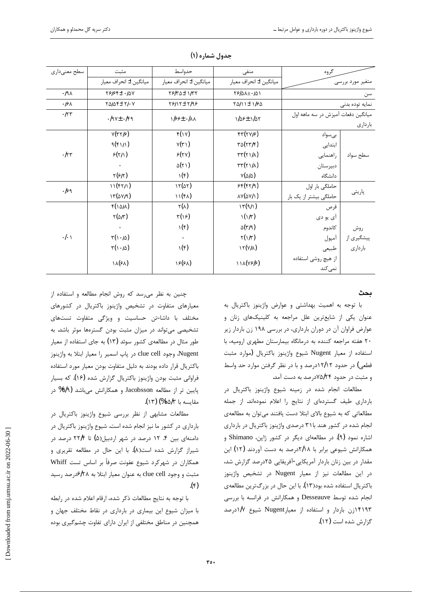| سطح معنىدارى       | مثبت                                                    | حدواسط                              | منفی                            | گروه                               |            |
|--------------------|---------------------------------------------------------|-------------------------------------|---------------------------------|------------------------------------|------------|
|                    | ميانگين ± انحراف معيار                                  | ميانگين ± انحراف معيار              | ميانگين ± انحراف معيار          | متغیر مورد بررسی                   |            |
| .191               | $Y999f \pm 10Y$                                         | TSKA± 1/TT                          | $596A \pm 161$                  | سن                                 |            |
| ۰۱۶۸               | $\gamma \Delta \Delta \gamma \pm \gamma / \cdot \gamma$ | $Y91Y \pm Y199$                     | $Y\Delta$ $I$ $I + I$ $S\Delta$ | نمايه توده بدنى                    |            |
| $\cdot$ /۲۳        | $.194 \pm .199$                                         | $155 + 111$                         | 1/09± 1/0٢                      | میانگین دفعات آمیزش در سه ماهه اول |            |
|                    |                                                         |                                     |                                 |                                    | باردارى    |
| $\cdot$ /۲۳        | $Y(YY/\epsilon)$                                        | f(Y)                                | $f(\gamma \gamma/\gamma)$       | بىسواد                             |            |
|                    | 9(f11)                                                  | V(Y')                               | $\tau \Delta(\tau \tau/\tau)$   | ابتدایی                            |            |
|                    | $\mathcal{E}(\gamma/\gamma)$                            | $\mathcal{F}(\mathbf{Y}\mathbf{Y})$ | $\tau\tau(\tau)/\lambda)$       | راهنمایی                           | سطح سواد   |
|                    | $\bullet$                                               | $\Delta(Y)$                         | $\tau\tau(\tau)/\lambda)$       | دبيرستان                           |            |
|                    | $\gamma(\gamma \gamma)$                                 | $\mathcal{N}(\epsilon)$             | $V(\Delta/\Delta)$              | دانشگاه                            |            |
| $.$ l $\epsilon$ q | 11(f7/1)                                                | 11(41)                              | 55(57/9)                        | حاملگی بار اول                     |            |
|                    | $17(\Delta V/9)$                                        | 11(fA)                              | $\Delta V(\Delta V/\lambda)$    | حاملگی بیشتر از یک بار             | پاریتی     |
| $\cdot/\cdot$      | $f(\Delta/\Delta)$                                      | $\mathbf{Y}(\lambda)$               | $\Upsilon(\frac{1}{2})$         | قرص                                |            |
|                    | $\tau(\Delta/\tau)$                                     | $\mathbf{r}(\mathbf{y})$            | $\mathcal{N}(\mathcal{N})$      | آی يو دی                           |            |
|                    | $\bullet$                                               | $\mathcal{N}(\epsilon)$             | $\Delta(\Upsilon/9)$            | كاندوم                             | روش        |
|                    | $\tau(\cdot/\Delta)$                                    | $\bullet$                           | $\gamma(\frac{\pi}{2})$         | آمپول                              | پیشگیری از |
|                    | $\tau(\cdot/\Delta)$                                    | ۱ $(\epsilon)$                      | $\Upsilon(\forall/\lambda)$     | طبيعي                              | باردارى    |
|                    | ۱۸(۶۸)                                                  | 15(51)                              | 111(19/9)                       | از هيچ روشي استفاده                |            |
|                    |                                                         |                                     |                                 | نمى كند                            |            |

جدول شماره (۱)

### ىحث

با توجه به اهمیت بهداشتی و عوارض واژینوز باکتریال به عنوان یکی از شایعترین علل مراجعه به کلینیکهای زنان و عوارض فراوان آن در دوران بارداری، در بررسی ۱۹۸ زن باردار زیر ٢٠ هفته مراجعه كننده به درمانگاه بيمارستان مطهرى اروميه، با استفاده از معيار Nugent شيوع واژينوز باكتريال (موارد مثبت قطعی) در حدود ۱۲/۱۲درصد و با در نظر گرفتن موارد حد واسط و مثبت در حدود ۷۵/۲۴درصد به دست آمد.

مطالعات انجام شده در زمينه شيوع واژينوز باكتريال در بارداری طیف گستردهای از نتایج را اعلام نمودهاند. از جمله مطالعاتی که به شیوع بالای ابتلا دست یافتند میتوان به مطالعهی انجام شده در کشور هند با۳۱ درصدی واژینوز باکتریال در بارداری اشاره نمود (۹). در مطالعهای دیگر در کشور ژاپن، Shimano و همکارانش شیوعی برابر با ۲/۱۸درصد به دست آوردند (۱۲) این مقدار در بین زنان باردار آمریکایی-آفریقایی ۲۵درصد گزارش شد، در این مطالعات نیز از معیار Nugent در تشخیص واژینوز باکتریال استفاده شده بود(۱۳). با این حال در بزرگترین مطالعهی انجام شده توسط Desseauve و همکارانش در فرانسه با بررسی ۱۴۱۹۳زن باردار و استفاده از معیارNugent شیوع ۱/۷درصد گزارش شده است (۱۲).

چنین به نظر می رسد که روش انجام مطالعه و استفاده از معیارهای متفاوت در تشخیص واژینوز باکتریال در کشورهای مختلف با داشا=تن حساسیت و ویژگی متفاوت تستهای تشخیصی میتواند در میزان مثبت بودن گسترهها موثر باشد. به طور مثال در مطالعهی کشور سوئد (۱۳) به جای استفاده از معیار Nugent، وجود clue cell در پاپ اسمير را معيار ابتلا به واژينوز باکتریال قرار داده بودند به دلیل متفاوت بودن معیار مورد استفاده فراوانی مثبت بودن واژینوز باکتریال گزارش شده (۱۶). که بسیار پایین تر از مطالعه Jacobsson و همکارانش میباشد (۳/۹% در مقايسه با ۵/۳%) (۱۳).

مطالعات مشابهی از نظر بررسی شیوع واژینوز باکتریال در بارداری در کشور ما نیز انجام شده است. شیوع واژینوز باکتریال در دامنهای بین ۴. ۱۲ درصد در شهر اردبیل(۵) تا ۲۲/۴ درصد در شیراز گزارش شده است(۸). با این حال در مطالعه تقریری و همکاران در شهرکرد شیوع عفونت صرفاً بر اساس تست Whiff مثبت و وجود clue cell به عنوان معيار ابتلا به ۶/۲۸درصد رسيد  $\cdot$ (۴)

با توجه به نتايج مطالعات ذكر شده، ارقام اعلام شده در رابطه با میزان شیوع این بیماری در بارداری در نقاط مختلف جهان و همچنین در مناطق مختلفی از ایران دارای تفاوت چشمگیری بوده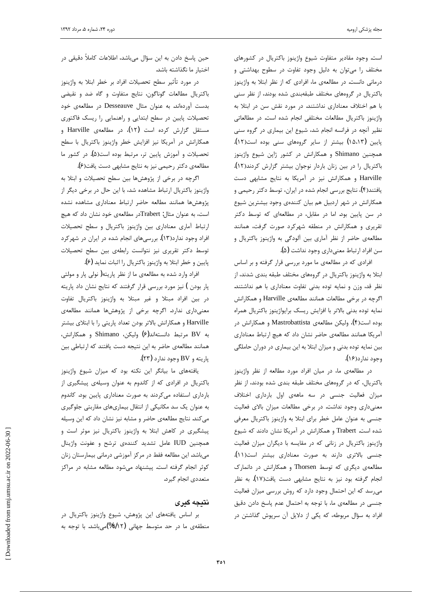j

است. وجود مقادير متفاوت شيوع واژينوز باكتريال در كشورهاي مختلف را میتوان به دلیل وجود تفاوت در سطوح بهداشتی و درمانی دانست. در مطالعهی ما، افرادی که از نظر ابتلا به واژینوز باكتريال در گروههاى مختلف طبقهبندى شده بودند، از نظر سنى با هم اختلاف معناداری نداشتند. در مورد نقش سن در ابتلا به واژينوز باكتريال مطالعات مختلفى انجام شده است. در مطالعاتى نظیر آنچه در فرانسه انجام شد، شیوع این بیماری در گروه سنی پايين (١٥،١٣) بيشتر از ساير گروههاى سنى بوده است(١٢). همچنین Shimano و همکارانش در کشور ژاپن شیوع واژینوز باكتريال را در بين زنان باردار نوجوان بيشتر گزارش كردند(١٢). Harville و همكارانش نيز در آمريكا به نتايج مشابهى دست یافتند(۴)، نتایج بررسی انجام شده در ایران، توسط دکتر رحیمی و همکارانش در شهر اردبیل هم بیان کنندهی وجود بیشترین شیوع در سن پایین بود. اما در مقابل، در مطالعهای که توسط دکتر تقریری و همکارانش در منطقه شهرکرد صورت گرفت، همانند مطالعهی حاضر از نظر آماری بین آلودگی به واژینوز باکتریال و سن افراد ارتباط معنىداري وجود نداشت (۵).

افرادي كه در مطالعهي ما مورد بررسي قرار گرفته و بر اساس ابتلا به واژينوز باكتريال در گروههاى مختلف طبقه بندى شدند، از نظر قد، وزن و نمايه توده بدنى تفاوت معنادارى با هم نداشتند. اگرچه در برخی مطالعات همانند مطالعهی Harville و همکارانش نمايه توده بدني بالاتر با افزايش ريسك برايواژينوز باكتريال همراه بوده است(۴)، وليكن مطالعهي Mastrobattista و همكارانش در آمریکا همانند مطالعهی حاضر نشان داد که هیچ ارتباط معناداری بین نمایه توده بدنی و میزان ابتلا به این بیماری در دوران حاملگی وجود ندارد(۱۶).

در مطالعهی ما، در میان افراد مورد مطالعه از نظر واژینوز باکتریال، که در گروههای مختلف طبقه بندی شده بودند، از نظر میزان فعالیت جنسی در سه ماههی اول بارداری اختلاف معنیداری وجود نداشت. در برخی مطالعات میزان بالای فعالیت جنسی به عنوان عامل خطر برای ابتلا به واژینوز باکتریال معرفی شده است. Trabert و همكارانش در آمريكا نشان دادند كه شيوع واژینوز باکتریال در زنانی که در مقایسه با دیگران میزان فعالیت جنسی بالاتری دارند به صورت معناداری بیشتر است(۱۱). مطالعهی دیگری که توسط Thorsen و همکارانش در دانمارک انجام گرفته بود نیز به نتایج مشابهی دست یافت(۱۷). به نظر می٫رسد که این احتمال وجود دارد که روش بررسی میزان فعالیت جنسی در مطالعهی ما، با توجه به احتمال عدم پاسخ دادن دقیق افراد به سؤال مربوطه، که یکی از دلایل آن سرپوش گذاشتن در

حين پاسخ دادن به اين سؤال ميباشد، اطلاعات كاملاً دقيقى در اختيار ما نگذاشته باشد.

در مورد تأثير سطح تحصيلات افراد بر خطر ابتلا به واژينوز باكتريال مطالعات گوناگون، نتايج متفاوت و گاه ضد و نقيضى بدست آوردهاند. به عنوان مثال Desseauve در مطالعهی خود تحصیلات پایین در سطح ابتدایی و راهنمایی را ریسک فاکتوری مستقل گزارش كرده است (١٢)، در مطالعهى Harville و همکارانش در آمریکا نیز افزایش خطر واژینوز باکتریال با سطح تحصیلات و آموزش پایین تر، مرتبط بوده است(۵). در کشور ما مطالعهى دكتر رحيمي نيز به نتايج مشابهي دست يافت(ع).

اگرچه در برخی از پژوهشها بین سطح تحصیلات و ابتلا به واژینوز باکتریال ارتباط مشاهده شد، با این حال در برخی دیگر از پژوهشها همانند مطالعه حاضر ارتباط معناداری مشاهده نشده است، به عنوان مثال: Trabertو مطالعهی خود نشان داد که هیچ ارتباط آماري معناداري بين واژينوز باكتريال و سطح تحصيلات افراد وجود ندارد(۱۳). بررسیهای انجام شده در ایران در شهرکرد توسط دكتر تقريرى نيز نتوانست رابطهى بين سطح تحصيلات پایین و خطر ابتلا به واژینوز باکتریال را اثبات نماید (۶**)**.

افراد وارد شده به مطالعهی ما از نظر پاریته( نولی پار و مولتی پار بودن ) نیز مورد بررسی قرار گرفتند که نتایج نشان داد پاریته در بين افراد مبتلا و غير مبتلا به واژينوز باكتريال تفاوت معنیداری ندارد. اگرچه برخی از پژوهشها همانند مطالعهی Harville و همكارانش بالاتر بودن تعداد پاريتي را با ابتلاي بيشتر به BV مرتبط دانستهاند(۶) وليكن، Shimano و همكارانش، همانند مطالعهى حاضر به اين نتيجه دست يافتند كه ارتباطي بين پاريته و BV وجود ندارد (٢٣).

یافتههای ما بیانگر این نکته بود که میزان شیوع واژینوز باکتریال در افرادی که از کاندوم به عنوان وسیلهی پیشگیری از بارداری استفاده میکردند به صورت معناداری پایین بود. کاندوم به عنوان یک سد مکانیکی از انتقال بیماریهای مقاربتی جلوگیری میکند. نتایج مطالعهی حاضر و مشابه نیز نشان داد که این وسیله پیشگیری در کاهش ابتلا به واژینوز باکتریال نیز موثر است و همچنین IUD عامل تشدید کنندهی ترشح و عفونت واژینال میباشد. این مطالعه فقط در مرکز آموزشی درمانی بیمارستان زنان كوثر انجام گرفته است. پیشنهاد میشود مطالعه مشابه در مراكز متعددي انجام گيرد.

## نتيجه کيري

بر اساس یافتههای این پژوهش، شیوع واژینوز باکتریال در منطقهی ما در حد متوسط جهانی (۲/۱۲%)میباشد. با توجه به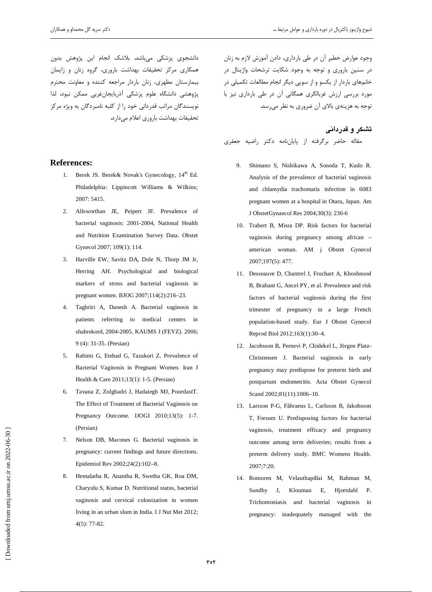دانشجوی پزشکی میباشد. بلاشک انجام این پژوهش بدون همکاری مرکز تحقیقات بهداشت باروری، گروه زنان و زایمان بیمارستان مطهری، زنان باردار مراجعه کننده و معاونت محترم یژوهشی دانشگاه علوم پزشکی آذربایجانِ غربی ممکن نبود، لذا نویسندگان مراتب قدردانی خود را از کلیه نامبردگان به ویژه مرکز تحقیقات بهداشت باروری اعلام می دارد.

### **References:**

- 1. Berek JS. Berek & Novak's Gynecology, 14<sup>th</sup> Ed. Philadelphia: Lippincott Williams & Wilkins; 2007: 5415.
- $2.$ Allsworthan JE, Peipert JF. Prevalence of bacterial vaginosis: 2001-2004, National Health and Nutrition Examination Survey Data. Obstet Gynecol 2007; 109(1): 114.
- 3. Harville EW, Savitz DA, Dole N, Thorp JM Jr, Herring AH. Psychological and biological markers of stress and bacterial vaginosis in pregnant women. BJOG 2007;114(2):216-23.
- Taghriri A, Danesh A. Bacterial vaginosis in  $\overline{4}$ patients referring to medical centers in shahrekord, 2004-2005. KAUMS J (FEYZ). 2006; 9 (4): 31-35. (Persian)
- 5. Rahimi G, Etehad G, Tazakori Z. Prevalence of Bacterial Vaginosis in Pregnant Women. Iran J Health & Care 2011;13(1): 1-5. (Persian)
- 6. Tavana Z, Zolghadri J, Hadaiegh MJ, PourdastT. The Effect of Treatment of Bacterial Vaginosis on Pregnancy Outcome. IJOGI  $2010;13(5)$ : 1-7. (Persian)
- 7. Nelson DB, Macones G. Bacterial vaginosis in pregnancy: current findings and future directions. Epidemiol Rev 2002;24(2):102-8.
- Hemalatha R, Anantha R, Swetha GK, Roa DM, 8. Charyulu S, Kumar D. Nutritional status, bacterial vaginosis and cervical colonization in women living in an urban slum in India. I J Nut Met 2012;  $4(5): 77-82.$

وجود عوارض خطیر آن در طی بارداری، دادن آموزش لازم به زنان در سنین باروری و توجه به وجود شکایت ترشحات واژینال در خانمهای باردار از یکسو و از سویی دیگر انجام مطالعات تکمیلی در مورد بررسی ارزش غربالگری همگانی آن در طی بارداری نیز با توجه به هزینهی بالای آن ضروری به نظر میرسد.

# تشکر و قدردانی مقاله حاضر برگرفته از پایاننامه دکتر راضیه جعفری

- Shimano S, Nishikawa A, Sonoda T, Kudo R.  $9<sub>1</sub>$ Analysis of the prevalence of bacterial vaginosis and chlamydia trachomatis infection in 6083 pregnant women at a hospital in Otaru, Japan. Am J ObstetGynaecol Res 2004;30(3): 230-6
- 10. Trabert B, Misra DP. Risk factors for bacterial vaginosis during pregnancy among african american woman. AM j Obstet Gynecol 2007;197(5): 477.
- 11. Desseauve D, Chantrel J, Fruchart A, Khoshnood B, Brabant G, Ancel PY, et al. Prevalence and risk factors of bacterial vaginosis during the first trimester of pregnancy in a large French population-based study. Eur J Obstet Gynecol Reprod Biol 2012;163(1):30-4.
- 12. Jacobsson B, Pernevi P, Chidekel L, Jörgen Platz-Christensen J. Bacterial vaginosis in early pregnancy may predispose for preterm birth and postpartum endometritis. Acta Obstet Gynecol Scand 2002;81(11):1006-10.
- 13. Larsson P-G, Fåhraeus L, Carlsson B, Jakobsson T, Forsum U. Predisposing factors for bacterial vaginosis, treatment efficacy and pregnancy outcome among term deliveries; results from a preterm delivery study. BMC Womens Health. 2007:7:20.
- 14. Romoren M, Velauthapillai M, Rahman M, Sundby J, Klouman Ε, Hjortdahl  $P.$ Trichomoniasis and bacterial vaginosis  $\dot{m}$ pregnancy: inadequately managed with the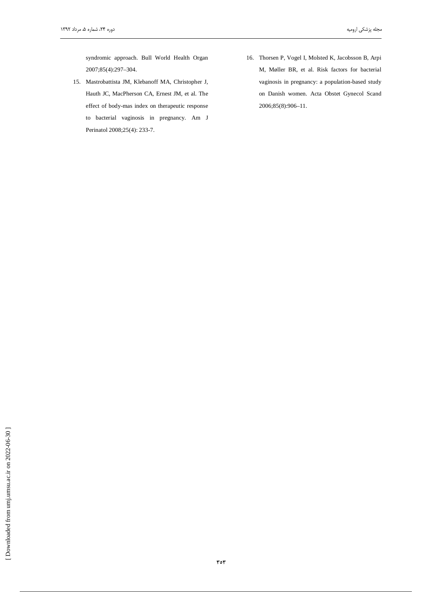syndromic approach. Bull World Health Organ 2007;85(4):297-304.

- 15. Mastrobattista JM, Klebanoff MA, Christopher J, Hauth JC, MacPherson CA, Ernest JM, et al. The effect of body-mas index on therapeutic response to bacterial vaginosis in pregnancy. Am J Perinatol 2008;25(4): 233-7.
- 16. Thorsen P, Vogel I, Molsted K, Jacobsson B, Arpi M, Møller BR, et al. Risk factors for bacterial vaginosis in pregnancy: a population-based study on Danish women. Acta Obstet Gynecol Scand 2006;85(8):906-11.